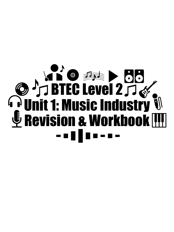# BTEC Level 2 Unit 1: Music Industry Revision & Workbook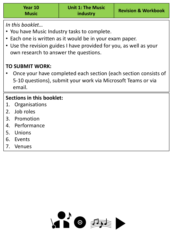*In this booklet…*

- You have Music Industry tasks to complete.
- Each one is written as it would be in your exam paper.
- Use the revision guides I have provided for you, as well as your own research to answer the questions.

# **TO SUBMIT WORK:**

• Once your have completed each section (each section consists of 5-10 questions), submit your work via Microsoft Teams or via email.

# **Sections in this booklet:**

- 1. Organisations
- 2. Job roles
- 3. Promotion
- 4. Performance
- 5. Unions
- 6. Events
- 7. Venues

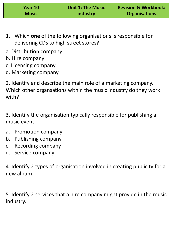| Year 10      | <b>Unit 1: The Music</b> | <b>Revision &amp; Workbook:</b> |
|--------------|--------------------------|---------------------------------|
| <b>Music</b> | industry                 | <b>Organisations</b>            |

- 1. Which **one** of the following organisations is responsible for delivering CDs to high street stores?
- a. Distribution company
- b. Hire company
- c. Licensing company
- d. Marketing company

2. Identify and describe the main role of a marketing company. Which other organsations within the music industry do they work with?

3. Identify the organisation typically responsible for publishing a music event

- a. Promotion company
- b. Publishing company
- c. Recording company
- d. Service company

4. Identify 2 types of organisation involved in creating publicity for a new album.

5. Identify 2 services that a hire company might provide in the music industry.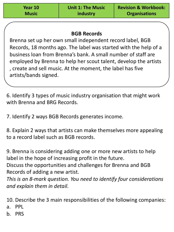| Year 10      |  |
|--------------|--|
| <b>Music</b> |  |

## **BGB Records**

Brenna set up her own small independent record label, BGB Records, 18 months ago. The label was started with the help of a business loan from Brenna's bank. A small number of staff are employed by Brenna to help her scout talent, develop the artists , create and sell music. At the moment, the label has five artists/bands signed.

6. Identify 3 types of music industry organisation that might work with Brenna and BRG Records.

7. Identify 2 ways BGB Records generates income.

8. Explain 2 ways that artists can make themselves more appealing to a record label such as BGB records.

9. Brenna is considering adding one or more new artists to help label in the hope of increasing profit in the future.

Discuss the opportunities and challenges for Brenna and BGB Records of adding a new artist.

*This is an 8-mark question. You need to identify four considerations and explain them in detail.* 

10. Describe the 3 main responsibilities of the following companies: a. PPL

b. PRS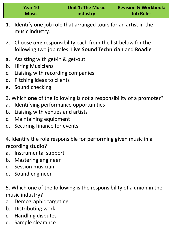| Year 10      | <b>Unit 1: The Music</b> | <b>Revision &amp; Workbook:</b> |
|--------------|--------------------------|---------------------------------|
| <b>Music</b> | industry                 | <b>Job Roles</b>                |

- 1. Identify **one** job role that arranged tours for an artist in the music industry.
- 2. Choose **one** responsibility each from the list below for the following two job roles: **Live Sound Technician** and **Roadie**
- a. Assisting with get-in & get-out
- b. Hiring Musicians
- c. Liaising with recording companies
- d. Pitching ideas to clients
- e. Sound checking
- 3. Which **one** of the following is not a responsibility of a promoter?
- a. Identifying performance opportunities
- b. Liaising with venues and artists
- c. Maintaining equipment
- d. Securing finance for events
- 4. Identify the role responsible for performing given music in a recording studio?
- a. Instrumental support
- b. Mastering engineer
- c. Session musician
- d. Sound engineer
- 5. Which one of the following is the responsibility of a union in the music industry?
- a. Demographic targeting
- b. Distributing work
- c. Handling disputes
- d. Sample clearance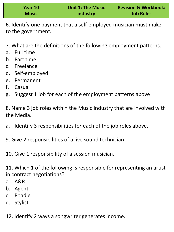| Year 10      | <b>Unit 1: The Music</b> | <b>Revision &amp; Workbook:</b> |
|--------------|--------------------------|---------------------------------|
| <b>Music</b> | industry                 | <b>Job Roles</b>                |

6. Identify one payment that a self-employed musician must make to the government.

- 7. What are the definitions of the following employment patterns.
- a. Full time
- b. Part time
- c. Freelance
- d. Self-employed
- e. Permanent
- f. Casual
- g. Suggest 1 job for each of the employment patterns above

8. Name 3 job roles within the Music Industry that are involved with the Media.

- a. Identify 3 responsibilities for each of the job roles above.
- 9. Give 2 responsibilities of a live sound technician.
- 10. Give 1 responsibility of a session musician.

11. Which 1 of the following is responsible for representing an artist in contract negotiations?

- a. A&R
- b. Agent
- c. Roadie
- d. Stylist
- 12. Identify 2 ways a songwriter generates income.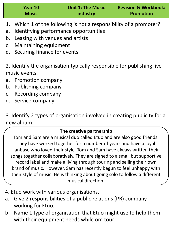| Year 10      | <b>Unit 1: The Music</b> | <b>Revision &amp; Workbook:</b> |
|--------------|--------------------------|---------------------------------|
| <b>Music</b> | <b>industry</b>          | <b>Promotion</b>                |

- 1. Which 1 of the following is not a responsibility of a promoter?
- a. Identifying performance opportunities
- b. Leasing with venues and artists
- c. Maintaining equipment
- d. Securing finance for events

2. Identify the organisation typically responsible for publishing live music events.

- a. Promotion company
- b. Publishing company
- c. Recording company
- d. Service company

3. Identify 2 types of organisation involved in creating publicity for a new album.

#### **The creative partnership**

Tom and Sam are a musical duo called Etuo and are also good friends. They have worked together for a number of years and have a loyal fanbase who loved their style. Tom and Sam have always written their songs together collaboratively. They are signed to a small but supportive record label and make a living through touring and selling their own brand of music. However, Sam has recently begun to feel unhappy with their style of music. He is thinking about going solo to follow a different musical direction.

- 4. Etuo work with various organisations.
- a. Give 2 responsibilities of a public relations (PR) company working for Etuo.
- b. Name 1 type of organisation that Etuo might use to help them with their equipment needs while om tour.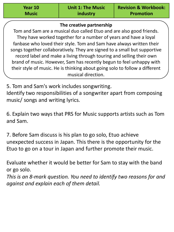| Year 10      |  |
|--------------|--|
| <b>Music</b> |  |

#### **The creative partnership**

Tom and Sam are a musical duo called Etuo and are also good friends. They have worked together for a number of years and have a loyal fanbase who loved their style. Tom and Sam have always written their songs together collaboratively. They are signed to a small but supportive record label and make a living through touring and selling their own brand of music. However, Sam has recently begun to feel unhappy with their style of music. He is thinking about going solo to follow a different musical direction.

5. Tom and Sam's work includes songwriting.

Identify two responsibilities of a songwriter apart from composing music/ songs and writing lyrics.

6. Explain two ways that PRS for Music supports artists such as Tom and Sam.

7. Before Sam discuss is his plan to go solo, Etuo achieve unexpected success in Japan. This there is the opportunity for the Etuo to go on a tour in Japan and further promote their music.

Evaluate whether it would be better for Sam to stay with the band or go solo.

*This is an 8-mark question. You need to identify two reasons for and against and explain each of them detail.*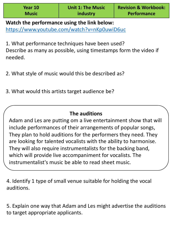**Watch the performance using the link below:** https://www.youtube.com/watch?v=nKp0uwiD6uc

1. What performance techniques have been used? Describe as many as possible, using timestamps form the video if needed.

2. What style of music would this be described as?

3. What would this artists target audience be?

# **The auditions**

Adam and Les are putting om a live entertainment show that will include performances of their arrangements of popular songs, They plan to hold auditions for the performers they need. They are looking for talented vocalists with the ability to harmonise. They will also require instrumentalists for the backing band, which will provide live accompaniment for vocalists. The instrumentalist's music be able to read sheet music.

4. Identify 1 type of small venue suitable for holding the vocal auditions.

5. Explain one way that Adam and Les might advertise the auditions to target appropriate applicants.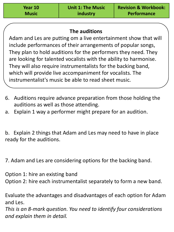| Year 10      |  |
|--------------|--|
| <b>Music</b> |  |

## **The auditions**

Adam and Les are putting om a live entertainment show that will include performances of their arrangements of popular songs, They plan to hold auditions for the performers they need. They are looking for talented vocalists with the ability to harmonise. They will also require instrumentalists for the backing band, which will provide live accompaniment for vocalists. The instrumentalist's music be able to read sheet music.

- 6. Auditions require advance preparation from those holding the auditions as well as those attending.
- a. Explain 1 way a performer might prepare for an audition.

b. Explain 2 things that Adam and Les may need to have in place ready for the auditions.

7. Adam and Les are considering options for the backing band.

Option 1: hire an existing band Option 2: hire each instrumentalist separately to form a new band.

Evaluate the advantages and disadvantages of each option for Adam and Les.

*This is an 8-mark question. You need to identify four considerations and explain them in detail.*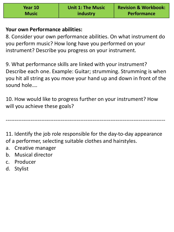| Year 10      | <b>Unit 1: The Music</b> | <b>Revision &amp; Workbook:</b> |
|--------------|--------------------------|---------------------------------|
| <b>Music</b> | industry                 | <b>Performance</b>              |

### **Your own Performance abilities:**

8. Consider your own performance abilities. On what instrument do you perform music? How long have you performed on your instrument? Describe you progress on your instrument.

9. What performance skills are linked with your instrument? Describe each one. Example: Guitar; strumming. Strumming is when you hit all string as you move your hand up and down in front of the sound hole….

10. How would like to progress further on your instrument? How will you achieve these goals?

11. Identify the job role responsible for the day-to-day appearance of a performer, selecting suitable clothes and hairstyles.

------------------------------------------------------------------------------------------

- a. Creative manager
- b. Musical director
- c. Producer
- d. Stylist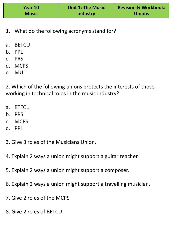| Year 10      | <b>Unit 1: The Music</b> | <b>Revision &amp; Workbook:</b> |
|--------------|--------------------------|---------------------------------|
| <b>Music</b> | industry                 | <b>Unions</b>                   |

- 1. What do the following acronyms stand for?
- a. BETCU
- b. PPL
- c. PRS
- d. MCPS
- e. MU

2. Which of the following unions protects the interests of those working in technical roles in the music industry?

- a. BTECU
- b. PRS
- c. MCPS
- d. PPL
- 3. Give 3 roles of the Musicians Union.
- 4. Explain 2 ways a union might support a guitar teacher.
- 5. Explain 2 ways a union might support a composer.
- 6. Explain 2 ways a union might support a travelling musician.
- 7. Give 2 roles of the MCPS
- 8. Give 2 roles of BETCU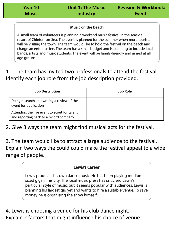#### Music on the beach

A small team of volunteers is planning a weekend music festival in the seaside resort of Chinton-on-Sea. The event is planned for the summer when more tourists will be visiting the town. The team would like to hold the festival on the beach and charge an entrance fee. The team has a small budget and is planning to include local bands, artists and music students. The event will be family-friendly and aimed at all age groups.

1. The team has invited two professionals to attend the festival. Identify each job role from the job description provided.

| <b>Job Description</b>                                                                  | <b>Job Role</b> |
|-----------------------------------------------------------------------------------------|-----------------|
| Doing research and writing a review of the<br>event for publication                     |                 |
| Attending the live event to scout for talent<br>and reporting back to a record company. |                 |

2. Give 3 ways the team might find musical acts for the festival.

3. The team would like to attract a large audience to the festival. Explain two ways the could could make the festival appeal to a wide range of people.

#### **Lewis's Career**

Lewis produces his own dance music. He has been playing mediumsized gigs in his city. The local music press has criticised Lewis's particular style of music, but it seems popular with audiences. Lewis is planning his largest gig yet and wants to hire a suitable venue. To save money he is organising the show himself.

4. Lewis is choosing a venue for his club dance night. Explain 2 factors that might influence his choice of venue.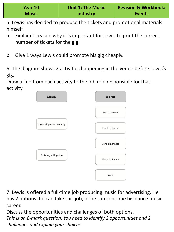5. Lewis has decided to produce the tickets and promotional materials himself.

- a. Explain 1 reason why it is important for Lewis to print the correct number of tickets for the gig.
- b. Give 1 ways Lewis could promote his gig cheaply.

6. The diagram shows 2 activities happening in the venue before Lewis's gig.

Draw a line from each activity to the job role responsible for that activity.



7. Lewis is offered a full-time job producing music for advertising. He has 2 options: he can take this job, or he can continue his dance music career.

Discuss the opportunities and challenges of both options. *This is an 8-mark question. You need to identify 2 opportunities and 2 challenges and explain your choices.*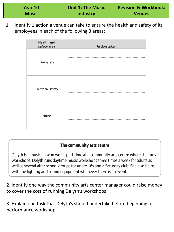| Year 10      | <b>Unit 1: The Music</b> | <b>Revision &amp; Workbook:</b> |
|--------------|--------------------------|---------------------------------|
| <b>Music</b> | industry                 | <b>Venues</b>                   |

1. Identify 1 action a venue can take to ensure the health and safety of its employees in each of the following 3 areas;

| <b>Health and</b><br>safety area | <b>Action taken</b> |
|----------------------------------|---------------------|
| Fire safety                      |                     |
| <b>Electrical safety</b>         |                     |
| <b>Noise</b>                     |                     |

#### The community arts centre

Delyth is a musician who works part-time at a community arts centre where she runs workshops. Delyth runs daytime music workshops three times a week for adults as well as several after-school groups for under 16s and a Saturday club. She also helps with the lighting and sound equipment whenever there is an event.

2. Identify one way the community arts center manager could raise money to cover the cost of running Delyth's workshops

3. Explain one task that Delyth's should undertake before beginning a performance workshop.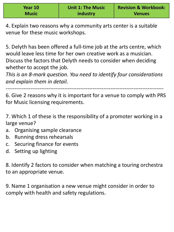| Year 10      | <b>Unit 1: The Music</b> | <b>Revision &amp; Workbook:</b> |
|--------------|--------------------------|---------------------------------|
| <b>Music</b> | industry                 | <b>Venues</b>                   |

4. Explain two reasons why a community arts center is a suitable venue for these music workshops.

5. Delyth has been offered a full-time job at the arts centre, which would leave less time for her own creative work as a musician. Discuss the factors that Delyth needs to consider when deciding whether to accept the job.

*This is an 8-mark question. You need to identify four considerations and explain them in detail.* 

*-----------------------------------------------------------------------------------------*

6. Give 2 reasons why it is important for a venue to comply with PRS for Music licensing requirements.

7. Which 1 of these is the responsibility of a promoter working in a large venue?

- a. Organising sample clearance
- b. Running dress rehearsals
- c. Securing finance for events
- d. Setting up lighting

8. Identify 2 factors to consider when matching a touring orchestra to an appropriate venue.

9. Name 1 organisation a new venue might consider in order to comply with health and safety regulations.